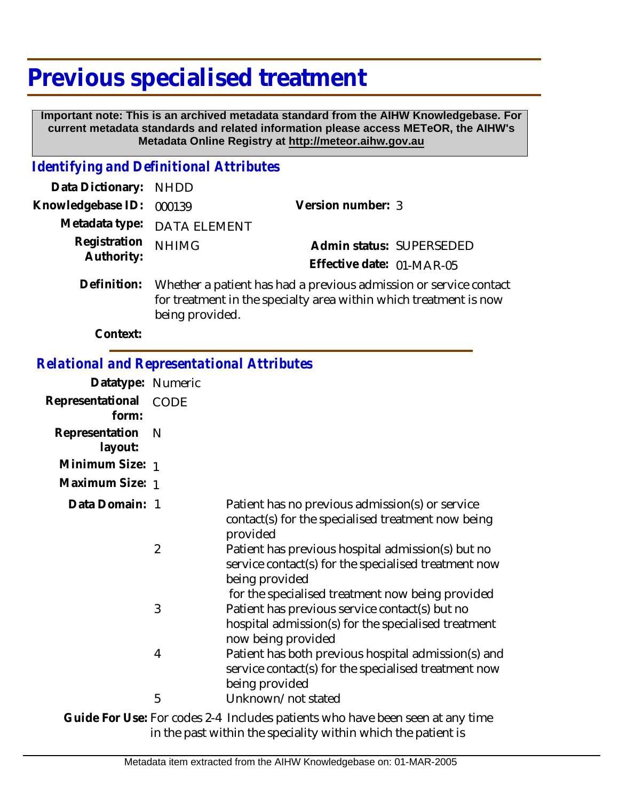## **Previous specialised treatment**

being provided.

 **Important note: This is an archived metadata standard from the AIHW Knowledgebase. For current metadata standards and related information please access METeOR, the AIHW's Metadata Online Registry at http://meteor.aihw.gov.au**

## *Identifying and Definitional Attributes*

| Data Dictionary: NHDD      |                                                                                                                                        |                           |                          |  |
|----------------------------|----------------------------------------------------------------------------------------------------------------------------------------|---------------------------|--------------------------|--|
| Knowledgebase ID: 000139   |                                                                                                                                        | Version number: 3         |                          |  |
|                            | Metadata type: DATA ELEMENT                                                                                                            |                           |                          |  |
| Registration<br>Authority: | <b>NHIMG</b>                                                                                                                           |                           | Admin status: SUPERSEDED |  |
|                            |                                                                                                                                        | Effective date: 01-MAR-05 |                          |  |
| Definition:                | Whether a patient has had a previous admission or service contact<br>for treatment in the specialty area within which treatment is now |                           |                          |  |

**Context:**

| <b>Relational and Representational Attributes</b> |                |                                                                                                                                                                                 |
|---------------------------------------------------|----------------|---------------------------------------------------------------------------------------------------------------------------------------------------------------------------------|
| Datatype: Numeric                                 |                |                                                                                                                                                                                 |
| Representational<br>form:                         | <b>CODE</b>    |                                                                                                                                                                                 |
| Representation<br>layout:                         | - N            |                                                                                                                                                                                 |
| Minimum Size: 1                                   |                |                                                                                                                                                                                 |
| Maximum Size: 1                                   |                |                                                                                                                                                                                 |
| Data Domain: 1                                    |                | Patient has no previous admission(s) or service<br>contact(s) for the specialised treatment now being<br>provided                                                               |
|                                                   | $\overline{2}$ | Patient has previous hospital admission(s) but no<br>service contact(s) for the specialised treatment now<br>being provided                                                     |
|                                                   | 3              | for the specialised treatment now being provided<br>Patient has previous service contact(s) but no<br>hospital admission(s) for the specialised treatment<br>now being provided |
|                                                   | 4              | Patient has both previous hospital admission(s) and<br>service contact(s) for the specialised treatment now<br>being provided                                                   |
|                                                   | 5              | Unknown/not stated                                                                                                                                                              |

Guide For Use: For codes 2-4 Includes patients who have been seen at any time in the past within the speciality within which the patient is